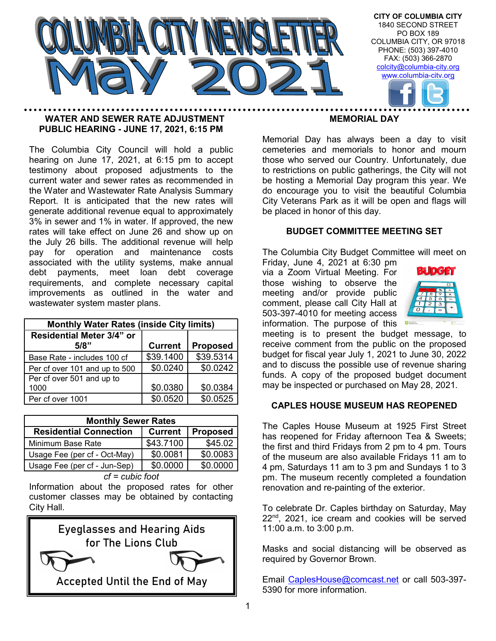

### WATER AND SEWER RATE ADJUSTMENT PUBLIC HEARING - JUNE 17, 2021, 6:15 PM

The Columbia City Council will hold a public hearing on June 17, 2021, at 6:15 pm to accept testimony about proposed adjustments to the current water and sewer rates as recommended in the Water and Wastewater Rate Analysis Summary Report. It is anticipated that the new rates will generate additional revenue equal to approximately 3% in sewer and 1% in water. If approved, the new rates will take effect on June 26 and show up on the July 26 bills. The additional revenue will help pay for operation and maintenance costs associated with the utility systems, make annual debt payments, meet loan debt coverage requirements, and complete necessary capital improvements as outlined in the water and wastewater system master plans.

| <b>Monthly Water Rates (inside City limits)</b> |                |                 |  |  |  |  |  |  |
|-------------------------------------------------|----------------|-----------------|--|--|--|--|--|--|
| Residential Meter 3/4" or                       |                |                 |  |  |  |  |  |  |
| 5/8"                                            | <b>Current</b> | <b>Proposed</b> |  |  |  |  |  |  |
| Base Rate - includes 100 cf                     | \$39.1400      | \$39.5314       |  |  |  |  |  |  |
| Per cf over 101 and up to 500                   | \$0.0240       | \$0.0242        |  |  |  |  |  |  |
| Per cf over 501 and up to<br>1000               | \$0.0380       | \$0.0384        |  |  |  |  |  |  |
| Per cf over 1001                                | \$0.0520       | \$0.0525        |  |  |  |  |  |  |

| <b>Monthly Sewer Rates</b>                                         |           |          |  |  |  |  |  |  |
|--------------------------------------------------------------------|-----------|----------|--|--|--|--|--|--|
| <b>Residential Connection</b><br><b>Current</b><br><b>Proposed</b> |           |          |  |  |  |  |  |  |
| Minimum Base Rate                                                  | \$43.7100 | \$45.02  |  |  |  |  |  |  |
| Usage Fee (per cf - Oct-May)                                       | \$0.0081  | \$0.0083 |  |  |  |  |  |  |
| Usage Fee (per cf - Jun-Sep)                                       | \$0.0000  | \$0.0000 |  |  |  |  |  |  |

cf = cubic foot

Information about the proposed rates for other customer classes may be obtained by contacting City Hall.



#### MEMORIAL DAY

Memorial Day has always been a day to visit cemeteries and memorials to honor and mourn those who served our Country. Unfortunately, due to restrictions on public gatherings, the City will not be hosting a Memorial Day program this year. We do encourage you to visit the beautiful Columbia City Veterans Park as it will be open and flags will be placed in honor of this day.

#### BUDGET COMMITTEE MEETING SET

The Columbia City Budget Committee will meet on Friday, June 4, 2021 at 6:30 pm

via a Zoom Virtual Meeting. For those wishing to observe the meeting and/or provide public comment, please call City Hall at 503-397-4010 for meeting access information. The purpose of this



meeting is to present the budget message, to receive comment from the public on the proposed budget for fiscal year July 1, 2021 to June 30, 2022 and to discuss the possible use of revenue sharing funds. A copy of the proposed budget document may be inspected or purchased on May 28, 2021.

#### CAPLES HOUSE MUSEUM HAS REOPENED

The Caples House Museum at 1925 First Street has reopened for Friday afternoon Tea & Sweets; the first and third Fridays from 2 pm to 4 pm. Tours of the museum are also available Fridays 11 am to 4 pm, Saturdays 11 am to 3 pm and Sundays 1 to 3 pm. The museum recently completed a foundation renovation and re-painting of the exterior.

To celebrate Dr. Caples birthday on Saturday, May 22<sup>nd</sup>, 2021, ice cream and cookies will be served 11:00 a.m. to 3:00 p.m.

Masks and social distancing will be observed as required by Governor Brown.

Email CaplesHouse@comcast.net or call 503-397- 5390 for more information.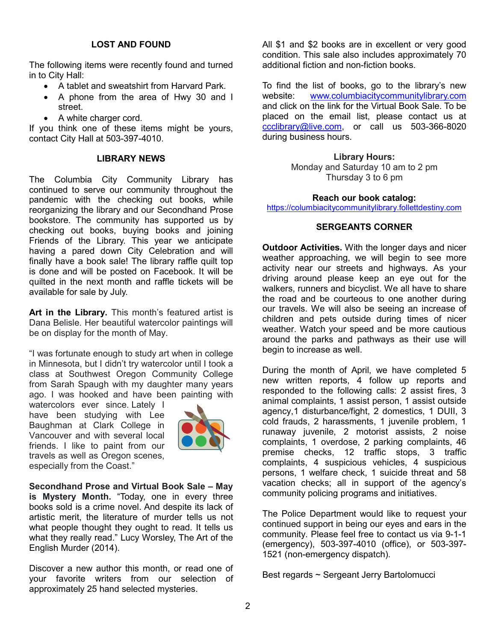### LOST AND FOUND

The following items were recently found and turned in to City Hall:

- A tablet and sweatshirt from Harvard Park.
- A phone from the area of Hwy 30 and I street.
- A white charger cord.

If you think one of these items might be yours, contact City Hall at 503-397-4010.

#### LIBRARY NEWS

The Columbia City Community Library has continued to serve our community throughout the pandemic with the checking out books, while reorganizing the library and our Secondhand Prose bookstore. The community has supported us by checking out books, buying books and joining Friends of the Library. This year we anticipate having a pared down City Celebration and will finally have a book sale! The library raffle quilt top is done and will be posted on Facebook. It will be quilted in the next month and raffle tickets will be available for sale by July.

Art in the Library. This month's featured artist is Dana Belisle. Her beautiful watercolor paintings will be on display for the month of May.

"I was fortunate enough to study art when in college in Minnesota, but I didn't try watercolor until I took a class at Southwest Oregon Community College from Sarah Spaugh with my daughter many years ago. I was hooked and have been painting with

watercolors ever since. Lately I have been studying with Lee Baughman at Clark College in Vancouver and with several local friends. I like to paint from our travels as well as Oregon scenes, especially from the Coast."



Secondhand Prose and Virtual Book Sale – May is Mystery Month. "Today, one in every three books sold is a crime novel. And despite its lack of artistic merit, the literature of murder tells us not what people thought they ought to read. It tells us what they really read." Lucy Worsley, The Art of the English Murder (2014).

Discover a new author this month, or read one of your favorite writers from our selection of approximately 25 hand selected mysteries.

All \$1 and \$2 books are in excellent or very good condition. This sale also includes approximately 70 additional fiction and non-fiction books.

To find the list of books, go to the library's new website: www.columbiacitycommunitylibrary.com and click on the link for the Virtual Book Sale. To be placed on the email list, please contact us at ccclibrary@live.com, or call us 503-366-8020 during business hours.

#### Library Hours:

Monday and Saturday 10 am to 2 pm Thursday 3 to 6 pm

#### Reach our book catalog:

https://columbiacitycommunitylibrary.follettdestiny.com

#### SERGEANTS CORNER

**Outdoor Activities.** With the longer days and nicer weather approaching, we will begin to see more activity near our streets and highways. As your driving around please keep an eye out for the walkers, runners and bicyclist. We all have to share the road and be courteous to one another during our travels. We will also be seeing an increase of children and pets outside during times of nicer weather. Watch your speed and be more cautious around the parks and pathways as their use will begin to increase as well.

During the month of April, we have completed 5 new written reports, 4 follow up reports and responded to the following calls: 2 assist fires, 3 animal complaints, 1 assist person, 1 assist outside agency,1 disturbance/fight, 2 domestics, 1 DUII, 3 cold frauds, 2 harassments, 1 juvenile problem, 1 runaway juvenile, 2 motorist assists, 2 noise complaints, 1 overdose, 2 parking complaints, 46 premise checks, 12 traffic stops, 3 traffic complaints, 4 suspicious vehicles, 4 suspicious persons, 1 welfare check, 1 suicide threat and 58 vacation checks; all in support of the agency's community policing programs and initiatives.

The Police Department would like to request your continued support in being our eyes and ears in the community. Please feel free to contact us via 9-1-1 (emergency), 503-397-4010 (office), or 503-397- 1521 (non-emergency dispatch).

Best regards ~ Sergeant Jerry Bartolomucci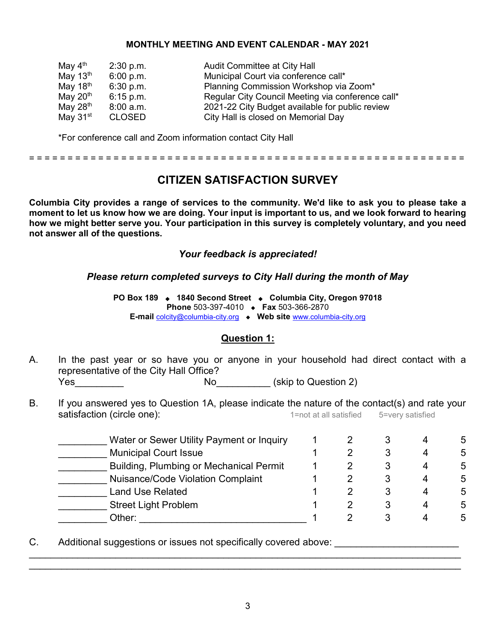### MONTHLY MEETING AND EVENT CALENDAR - MAY 2021

| May $4^{\text{th}}$  | 2:30 p.m.     | Audit Committee at City Hall                      |
|----------------------|---------------|---------------------------------------------------|
| May $13th$           | 6:00 p.m.     | Municipal Court via conference call*              |
| May 18 <sup>th</sup> | 6:30 p.m.     | Planning Commission Workshop via Zoom*            |
| May $20th$           | $6:15$ p.m.   | Regular City Council Meeting via conference call* |
| May $28th$           | $8:00$ a.m.   | 2021-22 City Budget available for public review   |
| May $31st$           | <b>CLOSED</b> | City Hall is closed on Memorial Day               |

\*For conference call and Zoom information contact City Hall

= = = = = = = = = = = = = = = = = = = = = = = = = = = = = = = = = = = = = = = = = = = = = = = = = = = = = = = = =

# CITIZEN SATISFACTION SURVEY

Columbia City provides a range of services to the community. We'd like to ask you to please take a moment to let us know how we are doing. Your input is important to us, and we look forward to hearing how we might better serve you. Your participation in this survey is completely voluntary, and you need not answer all of the questions.

### Your feedback is appreciated!

### Please return completed surveys to City Hall during the month of May

PO Box 189 • 1840 Second Street • Columbia City, Oregon 97018 Phone 503-397-4010  $\bullet$  Fax 503-366-2870 E-mail colcity@columbia-city.org • Web site www.columbia-city.org

### Question 1:

- A. In the past year or so have you or anyone in your household had direct contact with a representative of the City Hall Office? Yes\_\_\_\_\_\_\_\_\_ No\_\_\_\_\_\_\_\_\_\_ (skip to Question 2)
- B. If you answered yes to Question 1A, please indicate the nature of the contact(s) and rate your satisfaction (circle one): 1=not at all satisfied 5=very satisfied 5=very satisfied

| Water or Sewer Utility Payment or Inquiry      |  |  | 5 |
|------------------------------------------------|--|--|---|
| <b>Municipal Court Issue</b>                   |  |  | 5 |
| <b>Building, Plumbing or Mechanical Permit</b> |  |  | 5 |
| <b>Nuisance/Code Violation Complaint</b>       |  |  | 5 |
| <b>Land Use Related</b>                        |  |  | 5 |
| <b>Street Light Problem</b>                    |  |  | 5 |
| Other:                                         |  |  | 5 |

C. Additional suggestions or issues not specifically covered above:

\_\_\_\_\_\_\_\_\_\_\_\_\_\_\_\_\_\_\_\_\_\_\_\_\_\_\_\_\_\_\_\_\_\_\_\_\_\_\_\_\_\_\_\_\_\_\_\_\_\_\_\_\_\_\_\_\_\_\_\_\_\_\_\_\_\_\_\_\_\_\_\_\_\_\_\_\_\_\_\_ \_\_\_\_\_\_\_\_\_\_\_\_\_\_\_\_\_\_\_\_\_\_\_\_\_\_\_\_\_\_\_\_\_\_\_\_\_\_\_\_\_\_\_\_\_\_\_\_\_\_\_\_\_\_\_\_\_\_\_\_\_\_\_\_\_\_\_\_\_\_\_\_\_\_\_\_\_\_\_\_